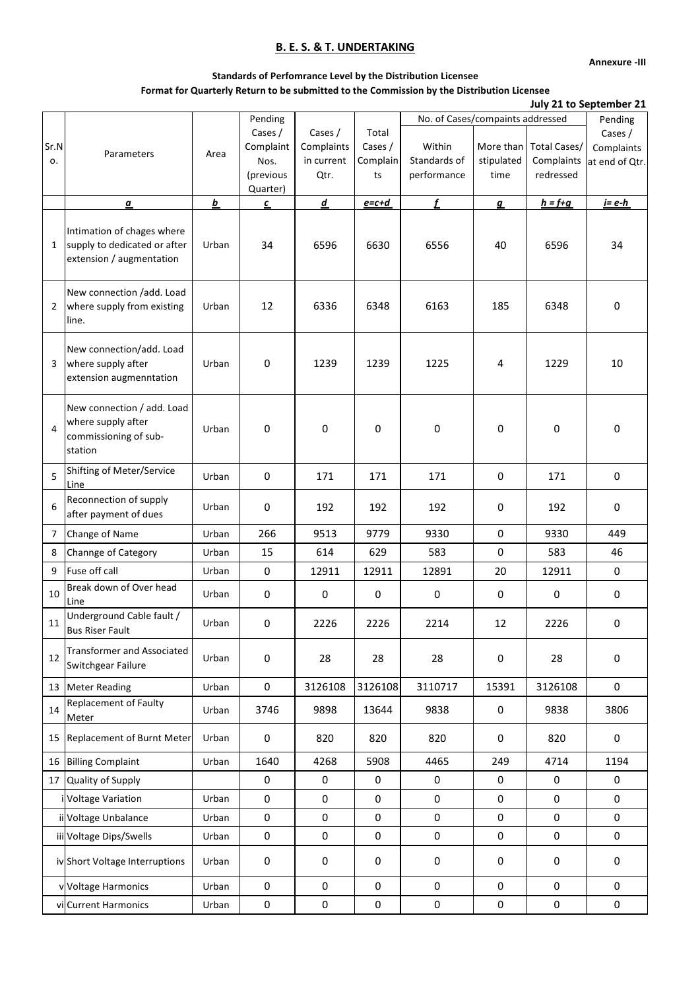**Annexure -III**

### **Standards of Perfomrance Level by the Distribution Licensee Format for Quarterly Return to be submitted to the Commission by the Distribution Licensee**

|                |                                                                                        |          | Pending                                               |                                             |                                    |                                       | No. of Cases/compaints addressed |                                         |                                                    |  |
|----------------|----------------------------------------------------------------------------------------|----------|-------------------------------------------------------|---------------------------------------------|------------------------------------|---------------------------------------|----------------------------------|-----------------------------------------|----------------------------------------------------|--|
| Sr.N<br>о.     | Parameters                                                                             | Area     | Cases /<br>Complaint<br>Nos.<br>(previous<br>Quarter) | Cases /<br>Complaints<br>in current<br>Qtr. | Total<br>Cases /<br>Complain<br>ts | Within<br>Standards of<br>performance | More than<br>stipulated<br>time  | Total Cases/<br>Complaints<br>redressed | Pending<br>Cases /<br>Complaints<br>at end of Qtr. |  |
|                | $\underline{\pmb{\alpha}}$                                                             | <u>b</u> | $\underline{\mathfrak{c}}$                            | $\underline{d}$                             | $e = c + d$                        | Ĺ                                     | $\mathbf{g}$                     | $h = f + g$                             | $i = e-h$                                          |  |
| $\mathbf{1}$   | Intimation of chages where<br>supply to dedicated or after<br>extension / augmentation | Urban    | 34                                                    | 6596                                        | 6630                               | 6556                                  | 40                               | 6596                                    | 34                                                 |  |
| $\overline{2}$ | New connection /add. Load<br>where supply from existing<br>line.                       | Urban    | 12                                                    | 6336                                        | 6348                               | 6163                                  | 185                              | 6348                                    | 0                                                  |  |
| 3              | New connection/add. Load<br>where supply after<br>extension augmenntation              | Urban    | 0                                                     | 1239                                        | 1239                               | 1225                                  | 4                                | 1229                                    | 10                                                 |  |
| $\overline{4}$ | New connection / add. Load<br>where supply after<br>commissioning of sub-<br>station   | Urban    | 0                                                     | 0                                           | 0                                  | 0                                     | 0                                | 0                                       | 0                                                  |  |
| 5              | Shifting of Meter/Service<br>Line                                                      | Urban    | 0                                                     | 171                                         | 171                                | 171                                   | 0                                | 171                                     | 0                                                  |  |
| 6              | Reconnection of supply<br>after payment of dues                                        | Urban    | 0                                                     | 192                                         | 192                                | 192                                   | 0                                | 192                                     | 0                                                  |  |
| 7              | Change of Name                                                                         | Urban    | 266                                                   | 9513                                        | 9779                               | 9330                                  | $\mathbf 0$                      | 9330                                    | 449                                                |  |
| 8              | Channge of Category                                                                    | Urban    | 15                                                    | 614                                         | 629                                | 583                                   | $\mathbf 0$                      | 583                                     | 46                                                 |  |
| 9              | Fuse off call                                                                          | Urban    | $\mathsf{O}\xspace$                                   | 12911                                       | 12911                              | 12891                                 | 20                               | 12911                                   | $\mathbf 0$                                        |  |
| 10             | Break down of Over head<br>Line                                                        | Urban    | 0                                                     | 0                                           | 0                                  | $\mathsf{O}\xspace$                   | 0                                | 0                                       | $\mathbf 0$                                        |  |
| 11             | Underground Cable fault /<br><b>Bus Riser Fault</b>                                    | Urban    | 0                                                     | 2226                                        | 2226                               | 2214                                  | 12                               | 2226                                    | 0                                                  |  |
| 12             | <b>Transformer and Associated</b><br>Switchgear Failure                                | Urban    | 0                                                     | 28                                          | 28                                 | 28                                    | 0                                | 28                                      | 0                                                  |  |
| 13             | <b>Meter Reading</b>                                                                   | Urban    | $\mathsf 0$                                           | 3126108                                     | 3126108                            | 3110717                               | 15391                            | 3126108                                 | $\mathbf 0$                                        |  |
| 14             | Replacement of Faulty<br>Meter                                                         | Urban    | 3746                                                  | 9898                                        | 13644                              | 9838                                  | $\mathbf 0$                      | 9838                                    | 3806                                               |  |
|                | 15 Replacement of Burnt Meter                                                          | Urban    | 0                                                     | 820                                         | 820                                | 820                                   | $\mathbf 0$                      | 820                                     | 0                                                  |  |
|                | 16 Billing Complaint                                                                   | Urban    | 1640                                                  | 4268                                        | 5908                               | 4465                                  | 249                              | 4714                                    | 1194                                               |  |
| 17             | Quality of Supply                                                                      |          | 0                                                     | 0                                           | 0                                  | $\mathsf 0$                           | 0                                | 0                                       | 0                                                  |  |
|                | i Voltage Variation                                                                    | Urban    | 0                                                     | 0                                           | 0                                  | $\mathsf{O}\xspace$                   | 0                                | 0                                       | 0                                                  |  |
|                | ii Voltage Unbalance                                                                   | Urban    | 0                                                     | $\pmb{0}$                                   | 0                                  | $\mathsf{O}\xspace$                   | $\mathbf 0$                      | 0                                       | 0                                                  |  |
|                | iii Voltage Dips/Swells                                                                | Urban    | 0                                                     | 0                                           | 0                                  | $\mathsf{O}\xspace$                   | $\pmb{0}$                        | 0                                       | 0                                                  |  |
|                | iv Short Voltage Interruptions                                                         | Urban    | 0                                                     | 0                                           | 0                                  | 0                                     | 0                                | 0                                       | 0                                                  |  |
|                | v Voltage Harmonics                                                                    | Urban    | 0                                                     | 0                                           | 0                                  | 0                                     | 0                                | 0                                       | 0                                                  |  |
|                | vi Current Harmonics                                                                   | Urban    | $\mathsf{O}\xspace$                                   | 0                                           | 0                                  | $\mathbf 0$                           | $\pmb{0}$                        | 0                                       | $\mathsf{O}\xspace$                                |  |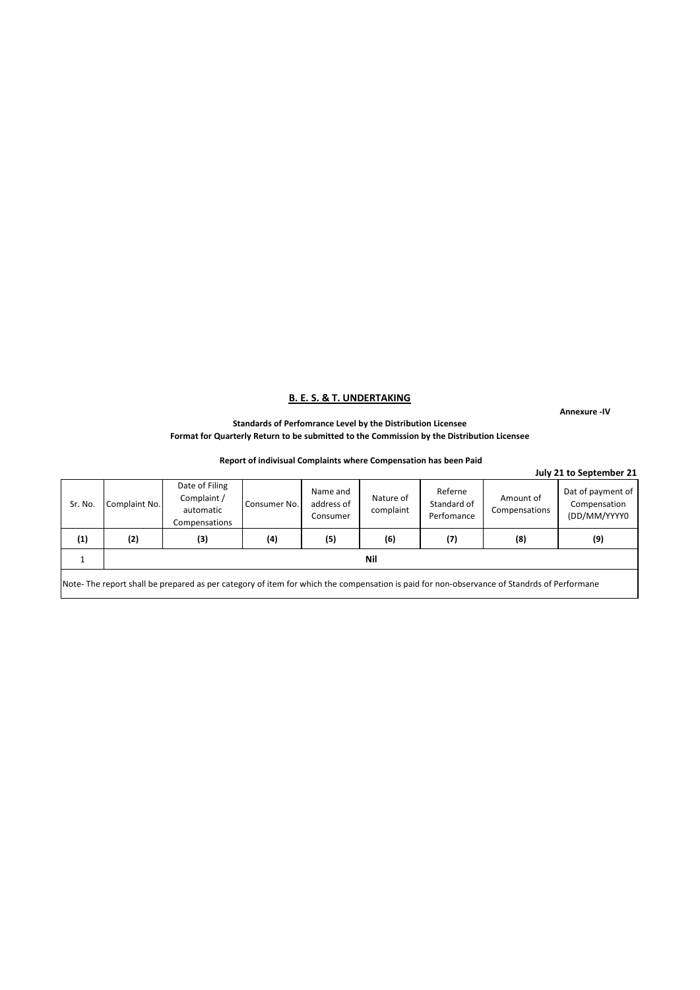**Annexure -IV**

**Standards of Perfomrance Level by the Distribution Licensee Format for Quarterly Return to be submitted to the Commission by the Distribution Licensee**

#### **Report of indivisual Complaints where Compensation has been Paid**

|         |               |                                                                                                                                           |              |                                    |                        |                                      |                            | July 21 to September 21                           |
|---------|---------------|-------------------------------------------------------------------------------------------------------------------------------------------|--------------|------------------------------------|------------------------|--------------------------------------|----------------------------|---------------------------------------------------|
| Sr. No. | Complaint No. | Date of Filing<br>Complaint /<br>automatic<br>Compensations                                                                               | Consumer No. | Name and<br>address of<br>Consumer | Nature of<br>complaint | Referne<br>Standard of<br>Perfomance | Amount of<br>Compensations | Dat of payment of<br>Compensation<br>(DD/MM/YYYY0 |
| (1)     | (2)           | (3)                                                                                                                                       | (4)          | (5)                                | (6)                    | (7)                                  | (8)                        | (9)                                               |
|         |               |                                                                                                                                           |              |                                    | Nil                    |                                      |                            |                                                   |
|         |               | Note-The report shall be prepared as per category of item for which the compensation is paid for non-observance of Standrds of Performane |              |                                    |                        |                                      |                            |                                                   |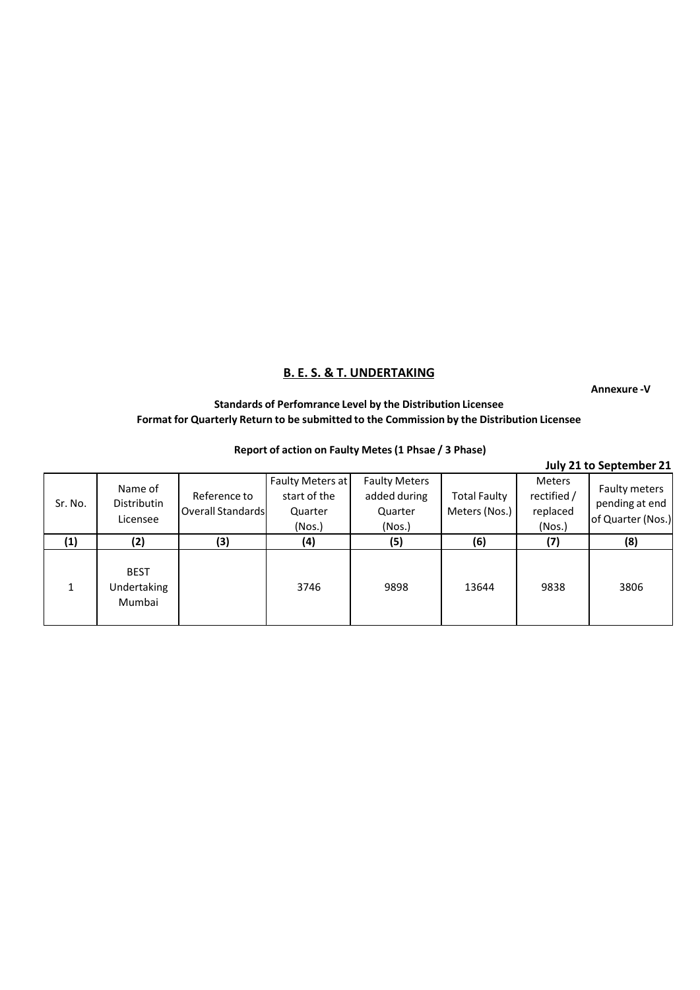**Annexure -V**

## **Standards of Perfomrance Level by the Distribution Licensee Format for Quarterly Return to be submitted to the Commission by the Distribution Licensee**

### **Report of action on Faulty Metes(1 Phsae / 3 Phase)**

|         |                                      |                                          |                                                       |                                                           |                                      |                                             | July 21 to September 21                              |
|---------|--------------------------------------|------------------------------------------|-------------------------------------------------------|-----------------------------------------------------------|--------------------------------------|---------------------------------------------|------------------------------------------------------|
| Sr. No. | Name of<br>Distributin<br>Licensee   | Reference to<br><b>Overall Standards</b> | Faulty Meters at<br>start of the<br>Quarter<br>(Nos.) | <b>Faulty Meters</b><br>added during<br>Quarter<br>(Nos.) | <b>Total Faulty</b><br>Meters (Nos.) | Meters<br>rectified /<br>replaced<br>(Nos.) | Faulty meters<br>pending at end<br>of Quarter (Nos.) |
| (1)     | (2)                                  | (3)                                      | (4)                                                   | (5)                                                       | (6)                                  | (7)                                         | (8)                                                  |
|         | <b>BEST</b><br>Undertaking<br>Mumbai |                                          | 3746                                                  | 9898                                                      | 13644                                | 9838                                        | 3806                                                 |